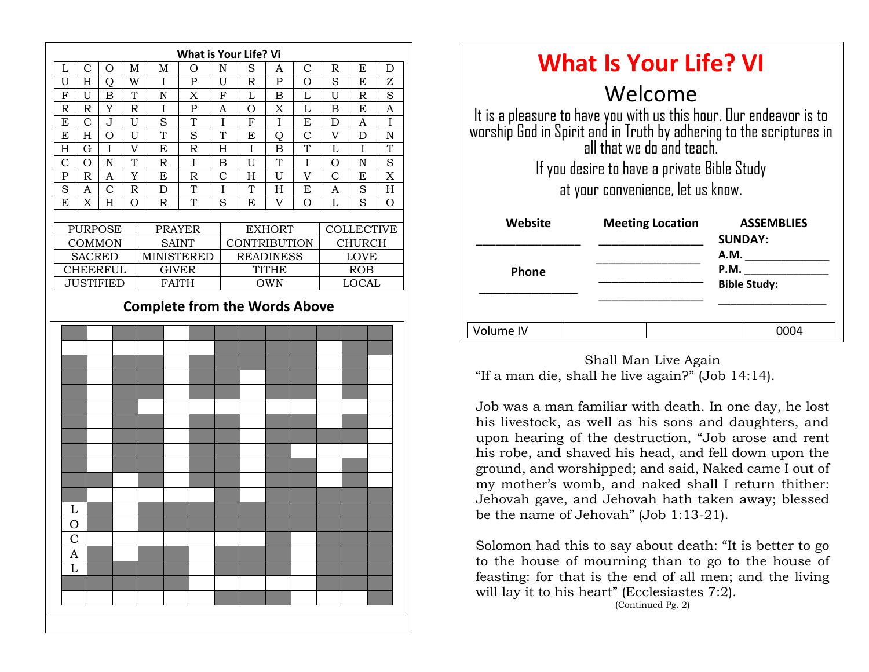

| <b>What Is Your Life? VI</b>                                                                                                                                                                                                                                          |                         |                                     |
|-----------------------------------------------------------------------------------------------------------------------------------------------------------------------------------------------------------------------------------------------------------------------|-------------------------|-------------------------------------|
| Welcome<br>It is a pleasure to have you with us this hour. Our endeavor is to<br>worship God in Spirit and in Truth by adhering to the scriptures in<br>all that we do and teach.<br>If you desire to have a private Bible Study<br>at your convenience, let us know. |                         |                                     |
| Website                                                                                                                                                                                                                                                               | <b>Meeting Location</b> | <b>ASSEMBLIES</b><br><b>SUNDAY:</b> |
| Phone                                                                                                                                                                                                                                                                 |                         | A.M.<br>P.M.<br><b>Bible Study:</b> |
| Volume IV                                                                                                                                                                                                                                                             |                         |                                     |

Shall Man Live Again "If a man die, shall he live again?" (Job 14:14).

 $\frac{1}{1}$  westock, as well Job was a man familiar with death. In one day, he lost his livestock, as well as his sons and daughters, and upon hearing of the destruction, "Job arose and rent his robe, and shaved his head, and fell down upon the ground, and worshipped; and said, Naked came I out of my mother's womb, and naked shall I return thither: Jehovah gave, and Jehovah hath taken away; blessed be the name of Jehovah" (Job 1:13-21).

Solomon had this to say about death: "It is better to go to the house of mourning than to go to the house of feasting: for that is the end of all men; and the living will lay it to his heart" (Ecclesiastes 7:2).

(Continued Pg. 2)